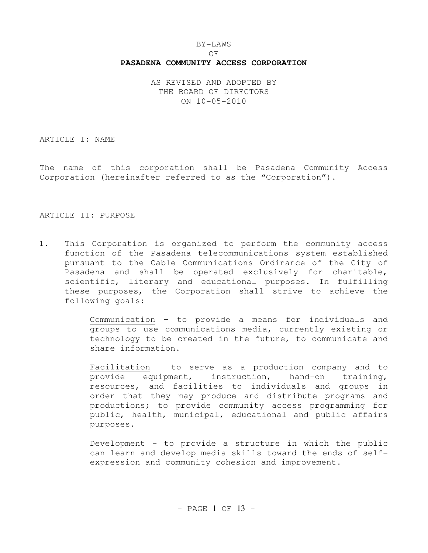# BY-LAWS OF **PASADENA COMMUNITY ACCESS CORPORATION**

AS REVISED AND ADOPTED BY THE BOARD OF DIRECTORS ON 10-05-2010

#### ARTICLE I: NAME

The name of this corporation shall be Pasadena Community Access Corporation (hereinafter referred to as the "Corporation").

### ARTICLE II: PURPOSE

1. This Corporation is organized to perform the community access function of the Pasadena telecommunications system established pursuant to the Cable Communications Ordinance of the City of Pasadena and shall be operated exclusively for charitable, scientific, literary and educational purposes. In fulfilling these purposes, the Corporation shall strive to achieve the following goals:

> Communication – to provide a means for individuals and groups to use communications media, currently existing or technology to be created in the future, to communicate and share information.

> Facilitation – to serve as a production company and to provide equipment, instruction, hand-on training, resources, and facilities to individuals and groups in order that they may produce and distribute programs and productions; to provide community access programming for public, health, municipal, educational and public affairs purposes.

> Development – to provide a structure in which the public can learn and develop media skills toward the ends of selfexpression and community cohesion and improvement.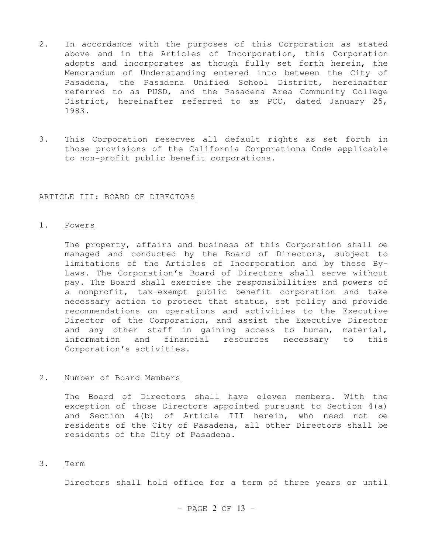- 2. In accordance with the purposes of this Corporation as stated above and in the Articles of Incorporation, this Corporation adopts and incorporates as though fully set forth herein, the Memorandum of Understanding entered into between the City of Pasadena, the Pasadena Unified School District, hereinafter referred to as PUSD, and the Pasadena Area Community College District, hereinafter referred to as PCC, dated January 25, 1983.
- 3. This Corporation reserves all default rights as set forth in those provisions of the California Corporations Code applicable to non-profit public benefit corporations.

### ARTICLE III: BOARD OF DIRECTORS

#### 1. Powers

 The property, affairs and business of this Corporation shall be managed and conducted by the Board of Directors, subject to limitations of the Articles of Incorporation and by these By-Laws. The Corporation's Board of Directors shall serve without pay. The Board shall exercise the responsibilities and powers of a nonprofit, tax-exempt public benefit corporation and take necessary action to protect that status, set policy and provide recommendations on operations and activities to the Executive Director of the Corporation, and assist the Executive Director and any other staff in gaining access to human, material, information and financial resources necessary to this Corporation's activities.

# 2. Number of Board Members

 The Board of Directors shall have eleven members. With the exception of those Directors appointed pursuant to Section 4(a) and Section 4(b) of Article III herein, who need not be residents of the City of Pasadena, all other Directors shall be residents of the City of Pasadena.

### 3. Term

Directors shall hold office for a term of three years or until

 $-$  PAGE 2 OF 13  $-$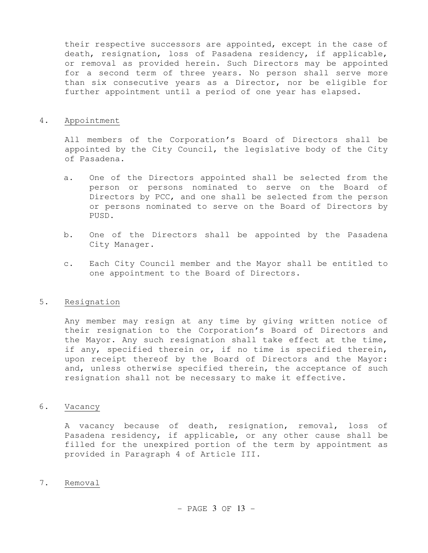their respective successors are appointed, except in the case of death, resignation, loss of Pasadena residency, if applicable, or removal as provided herein. Such Directors may be appointed for a second term of three years. No person shall serve more than six consecutive years as a Director, nor be eligible for further appointment until a period of one year has elapsed.

### 4. Appointment

 All members of the Corporation's Board of Directors shall be appointed by the City Council, the legislative body of the City of Pasadena.

- a. One of the Directors appointed shall be selected from the person or persons nominated to serve on the Board of Directors by PCC, and one shall be selected from the person or persons nominated to serve on the Board of Directors by PUSD.
- b. One of the Directors shall be appointed by the Pasadena City Manager.
- c. Each City Council member and the Mayor shall be entitled to one appointment to the Board of Directors.

# 5. Resignation

 Any member may resign at any time by giving written notice of their resignation to the Corporation's Board of Directors and the Mayor. Any such resignation shall take effect at the time, if any, specified therein or, if no time is specified therein, upon receipt thereof by the Board of Directors and the Mayor: and, unless otherwise specified therein, the acceptance of such resignation shall not be necessary to make it effective.

# 6. Vacancy

 A vacancy because of death, resignation, removal, loss of Pasadena residency, if applicable, or any other cause shall be filled for the unexpired portion of the term by appointment as provided in Paragraph 4 of Article III.

### 7. Removal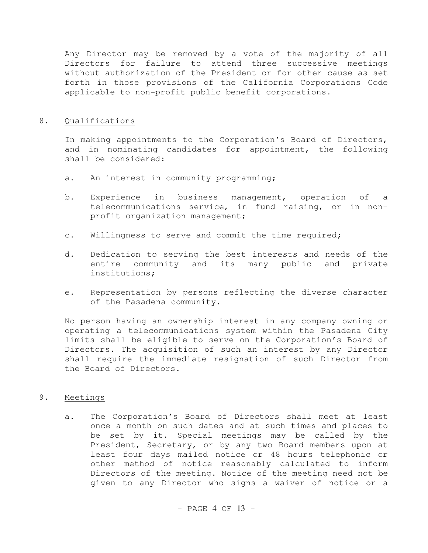Any Director may be removed by a vote of the majority of all Directors for failure to attend three successive meetings without authorization of the President or for other cause as set forth in those provisions of the California Corporations Code applicable to non-profit public benefit corporations.

# 8. Qualifications

 In making appointments to the Corporation's Board of Directors, and in nominating candidates for appointment, the following shall be considered:

- a. An interest in community programming;
- b. Experience in business management, operation of a telecommunications service, in fund raising, or in nonprofit organization management;
- c. Willingness to serve and commit the time required;
- d. Dedication to serving the best interests and needs of the entire community and its many public and private institutions;
- e. Representation by persons reflecting the diverse character of the Pasadena community.

 No person having an ownership interest in any company owning or operating a telecommunications system within the Pasadena City limits shall be eligible to serve on the Corporation's Board of Directors. The acquisition of such an interest by any Director shall require the immediate resignation of such Director from the Board of Directors.

# 9. Meetings

a. The Corporation's Board of Directors shall meet at least once a month on such dates and at such times and places to be set by it. Special meetings may be called by the President, Secretary, or by any two Board members upon at least four days mailed notice or 48 hours telephonic or other method of notice reasonably calculated to inform Directors of the meeting. Notice of the meeting need not be given to any Director who signs a waiver of notice or a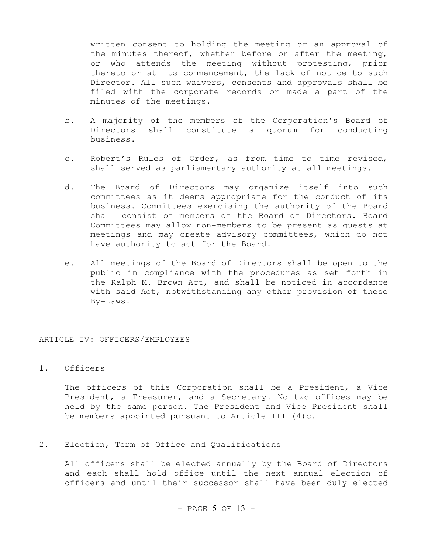written consent to holding the meeting or an approval of the minutes thereof, whether before or after the meeting, or who attends the meeting without protesting, prior thereto or at its commencement, the lack of notice to such Director. All such waivers, consents and approvals shall be filed with the corporate records or made a part of the minutes of the meetings.

- b. A majority of the members of the Corporation's Board of Directors shall constitute a quorum for conducting business.
- c. Robert's Rules of Order, as from time to time revised, shall served as parliamentary authority at all meetings.
- d. The Board of Directors may organize itself into such committees as it deems appropriate for the conduct of its business. Committees exercising the authority of the Board shall consist of members of the Board of Directors. Board Committees may allow non-members to be present as guests at meetings and may create advisory committees, which do not have authority to act for the Board.
- e. All meetings of the Board of Directors shall be open to the public in compliance with the procedures as set forth in the Ralph M. Brown Act, and shall be noticed in accordance with said Act, notwithstanding any other provision of these By-Laws.

## ARTICLE IV: OFFICERS/EMPLOYEES

# 1. Officers

 The officers of this Corporation shall be a President, a Vice President, a Treasurer, and a Secretary. No two offices may be held by the same person. The President and Vice President shall be members appointed pursuant to Article III  $(4)c$ .

## 2. Election, Term of Office and Qualifications

 All officers shall be elected annually by the Board of Directors and each shall hold office until the next annual election of officers and until their successor shall have been duly elected

- PAGE 5 OF 
$$
13 -
$$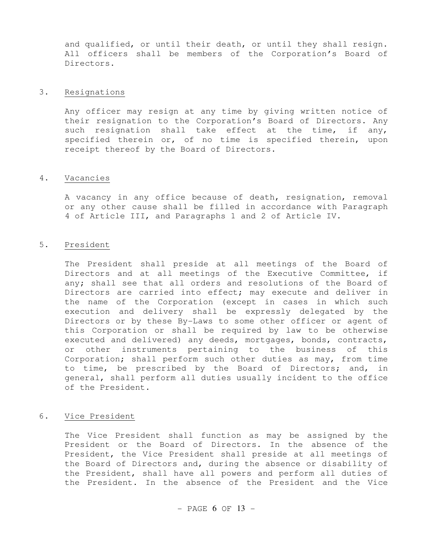and qualified, or until their death, or until they shall resign. All officers shall be members of the Corporation's Board of Directors.

# 3. Resignations

 Any officer may resign at any time by giving written notice of their resignation to the Corporation's Board of Directors. Any such resignation shall take effect at the time, if any, specified therein or, of no time is specified therein, upon receipt thereof by the Board of Directors.

#### 4. Vacancies

 A vacancy in any office because of death, resignation, removal or any other cause shall be filled in accordance with Paragraph 4 of Article III, and Paragraphs 1 and 2 of Article IV.

### 5. President

 The President shall preside at all meetings of the Board of Directors and at all meetings of the Executive Committee, if any; shall see that all orders and resolutions of the Board of Directors are carried into effect; may execute and deliver in the name of the Corporation (except in cases in which such execution and delivery shall be expressly delegated by the Directors or by these By-Laws to some other officer or agent of this Corporation or shall be required by law to be otherwise executed and delivered) any deeds, mortgages, bonds, contracts, or other instruments pertaining to the business of this Corporation; shall perform such other duties as may, from time to time, be prescribed by the Board of Directors; and, in general, shall perform all duties usually incident to the office of the President.

# 6. Vice President

 The Vice President shall function as may be assigned by the President or the Board of Directors. In the absence of the President, the Vice President shall preside at all meetings of the Board of Directors and, during the absence or disability of the President, shall have all powers and perform all duties of the President. In the absence of the President and the Vice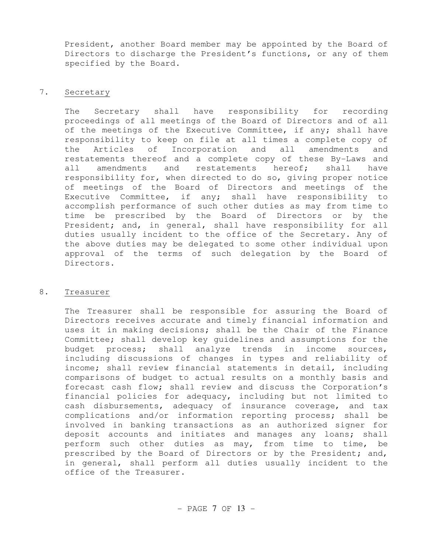President, another Board member may be appointed by the Board of Directors to discharge the President's functions, or any of them specified by the Board.

# 7. Secretary

 The Secretary shall have responsibility for recording proceedings of all meetings of the Board of Directors and of all of the meetings of the Executive Committee, if any; shall have responsibility to keep on file at all times a complete copy of the Articles of Incorporation and all amendments and restatements thereof and a complete copy of these By-Laws and all amendments and restatements hereof; shall have responsibility for, when directed to do so, giving proper notice of meetings of the Board of Directors and meetings of the Executive Committee, if any; shall have responsibility to accomplish performance of such other duties as may from time to time be prescribed by the Board of Directors or by the President; and, in general, shall have responsibility for all duties usually incident to the office of the Secretary. Any of the above duties may be delegated to some other individual upon approval of the terms of such delegation by the Board of Directors.

# 8. Treasurer

 The Treasurer shall be responsible for assuring the Board of Directors receives accurate and timely financial information and uses it in making decisions; shall be the Chair of the Finance Committee; shall develop key guidelines and assumptions for the budget process; shall analyze trends in income sources, including discussions of changes in types and reliability of income; shall review financial statements in detail, including comparisons of budget to actual results on a monthly basis and forecast cash flow; shall review and discuss the Corporation's financial policies for adequacy, including but not limited to cash disbursements, adequacy of insurance coverage, and tax complications and/or information reporting process; shall be involved in banking transactions as an authorized signer for deposit accounts and initiates and manages any loans; shall perform such other duties as may, from time to time, be prescribed by the Board of Directors or by the President; and, in general, shall perform all duties usually incident to the office of the Treasurer.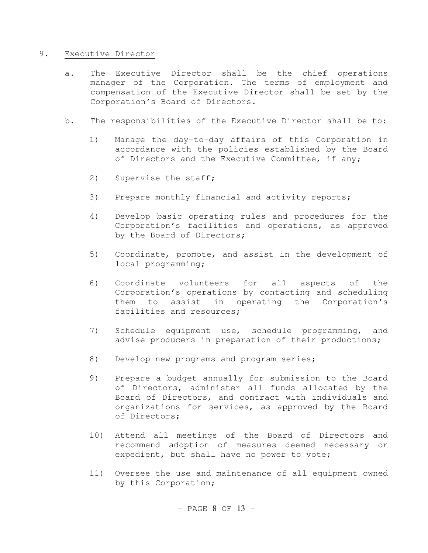# 9. Executive Director

- a. The Executive Director shall be the chief operations manager of the Corporation. The terms of employment and compensation of the Executive Director shall be set by the Corporation's Board of Directors.
- b. The responsibilities of the Executive Director shall be to:
	- 1) Manage the day-to-day affairs of this Corporation in accordance with the policies established by the Board of Directors and the Executive Committee, if any;
	- 2) Supervise the staff;
	- 3) Prepare monthly financial and activity reports;
	- 4) Develop basic operating rules and procedures for the Corporation's facilities and operations, as approved by the Board of Directors;
	- 5) Coordinate, promote, and assist in the development of local programming;
	- 6) Coordinate volunteers for all aspects of the Corporation's operations by contacting and scheduling them to assist in operating the Corporation's facilities and resources;
	- 7) Schedule equipment use, schedule programming, and advise producers in preparation of their productions;
	- 8) Develop new programs and program series;
	- 9) Prepare a budget annually for submission to the Board of Directors, administer all funds allocated by the Board of Directors, and contract with individuals and organizations for services, as approved by the Board of Directors;
	- 10) Attend all meetings of the Board of Directors and recommend adoption of measures deemed necessary or expedient, but shall have no power to vote;
	- 11) Oversee the use and maintenance of all equipment owned by this Corporation;

 $-$  PAGE 8 OF 13  $-$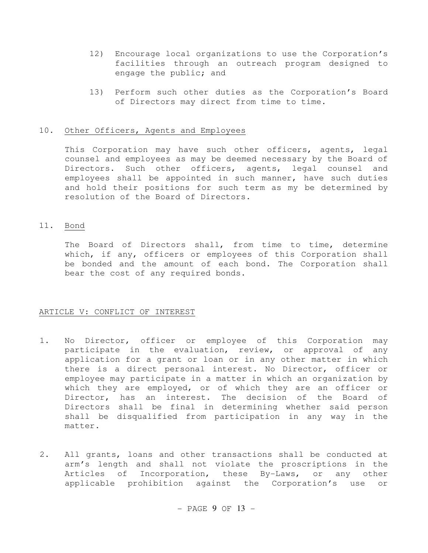- 12) Encourage local organizations to use the Corporation's facilities through an outreach program designed to engage the public; and
- 13) Perform such other duties as the Corporation's Board of Directors may direct from time to time.

# 10. Other Officers, Agents and Employees

 This Corporation may have such other officers, agents, legal counsel and employees as may be deemed necessary by the Board of Directors. Such other officers, agents, legal counsel and employees shall be appointed in such manner, have such duties and hold their positions for such term as my be determined by resolution of the Board of Directors.

# 11. Bond

 The Board of Directors shall, from time to time, determine which, if any, officers or employees of this Corporation shall be bonded and the amount of each bond. The Corporation shall bear the cost of any required bonds.

### ARTICLE V: CONFLICT OF INTEREST

- 1. No Director, officer or employee of this Corporation may participate in the evaluation, review, or approval of any application for a grant or loan or in any other matter in which there is a direct personal interest. No Director, officer or employee may participate in a matter in which an organization by which they are employed, or of which they are an officer or Director, has an interest. The decision of the Board of Directors shall be final in determining whether said person shall be disqualified from participation in any way in the matter.
- 2. All grants, loans and other transactions shall be conducted at arm's length and shall not violate the proscriptions in the Articles of Incorporation, these By-Laws, or any other applicable prohibition against the Corporation's use or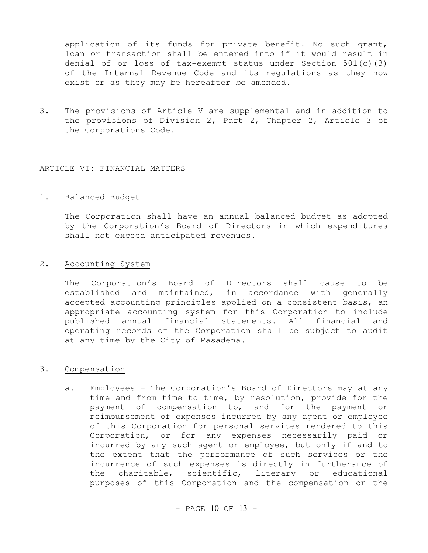application of its funds for private benefit. No such grant, loan or transaction shall be entered into if it would result in denial of or loss of tax-exempt status under Section  $501(c)(3)$ of the Internal Revenue Code and its regulations as they now exist or as they may be hereafter be amended.

3. The provisions of Article V are supplemental and in addition to the provisions of Division 2, Part 2, Chapter 2, Article 3 of the Corporations Code.

### ARTICLE VI: FINANCIAL MATTERS

### 1. Balanced Budget

 The Corporation shall have an annual balanced budget as adopted by the Corporation's Board of Directors in which expenditures shall not exceed anticipated revenues.

# 2. Accounting System

 The Corporation's Board of Directors shall cause to be established and maintained, in accordance with generally accepted accounting principles applied on a consistent basis, an appropriate accounting system for this Corporation to include published annual financial statements. All financial and operating records of the Corporation shall be subject to audit at any time by the City of Pasadena.

#### 3. Compensation

a. Employees – The Corporation's Board of Directors may at any time and from time to time, by resolution, provide for the payment of compensation to, and for the payment or reimbursement of expenses incurred by any agent or employee of this Corporation for personal services rendered to this Corporation, or for any expenses necessarily paid or incurred by any such agent or employee, but only if and to the extent that the performance of such services or the incurrence of such expenses is directly in furtherance of the charitable, scientific, literary or educational purposes of this Corporation and the compensation or the

 $-$  PAGE 10 OF 13  $-$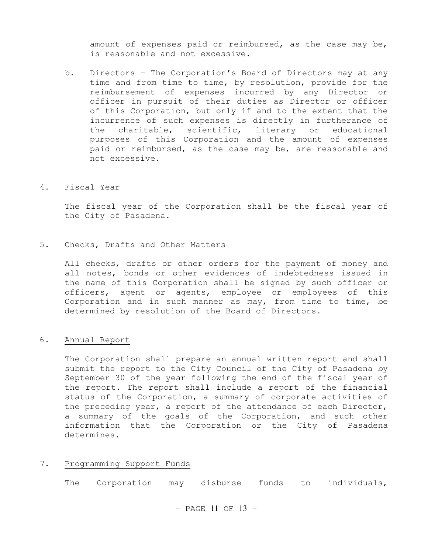amount of expenses paid or reimbursed, as the case may be, is reasonable and not excessive.

b. Directors – The Corporation's Board of Directors may at any time and from time to time, by resolution, provide for the reimbursement of expenses incurred by any Director or officer in pursuit of their duties as Director or officer of this Corporation, but only if and to the extent that the incurrence of such expenses is directly in furtherance of the charitable, scientific, literary or educational purposes of this Corporation and the amount of expenses paid or reimbursed, as the case may be, are reasonable and not excessive.

### 4. Fiscal Year

 The fiscal year of the Corporation shall be the fiscal year of the City of Pasadena.

### 5. Checks, Drafts and Other Matters

 All checks, drafts or other orders for the payment of money and all notes, bonds or other evidences of indebtedness issued in the name of this Corporation shall be signed by such officer or officers, agent or agents, employee or employees of this Corporation and in such manner as may, from time to time, be determined by resolution of the Board of Directors.

## 6. Annual Report

 The Corporation shall prepare an annual written report and shall submit the report to the City Council of the City of Pasadena by September 30 of the year following the end of the fiscal year of the report. The report shall include a report of the financial status of the Corporation, a summary of corporate activities of the preceding year, a report of the attendance of each Director, a summary of the goals of the Corporation, and such other information that the Corporation or the City of Pasadena determines.

### 7. Programming Support Funds

The Corporation may disburse funds to individuals,

 $-$  PAGE 11 OF 13  $-$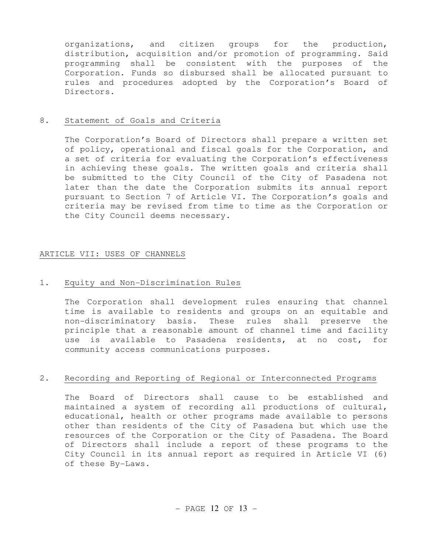organizations, and citizen groups for the production, distribution, acquisition and/or promotion of programming. Said programming shall be consistent with the purposes of the Corporation. Funds so disbursed shall be allocated pursuant to rules and procedures adopted by the Corporation's Board of Directors.

## 8. Statement of Goals and Criteria

 The Corporation's Board of Directors shall prepare a written set of policy, operational and fiscal goals for the Corporation, and a set of criteria for evaluating the Corporation's effectiveness in achieving these goals. The written goals and criteria shall be submitted to the City Council of the City of Pasadena not later than the date the Corporation submits its annual report pursuant to Section 7 of Article VI. The Corporation's goals and criteria may be revised from time to time as the Corporation or the City Council deems necessary.

# ARTICLE VII: USES OF CHANNELS

## 1. Equity and Non-Discrimination Rules

 The Corporation shall development rules ensuring that channel time is available to residents and groups on an equitable and non-discriminatory basis. These rules shall preserve the principle that a reasonable amount of channel time and facility use is available to Pasadena residents, at no cost, for community access communications purposes.

# 2. Recording and Reporting of Regional or Interconnected Programs

 The Board of Directors shall cause to be established and maintained a system of recording all productions of cultural, educational, health or other programs made available to persons other than residents of the City of Pasadena but which use the resources of the Corporation or the City of Pasadena. The Board of Directors shall include a report of these programs to the City Council in its annual report as required in Article VI (6) of these By-Laws.